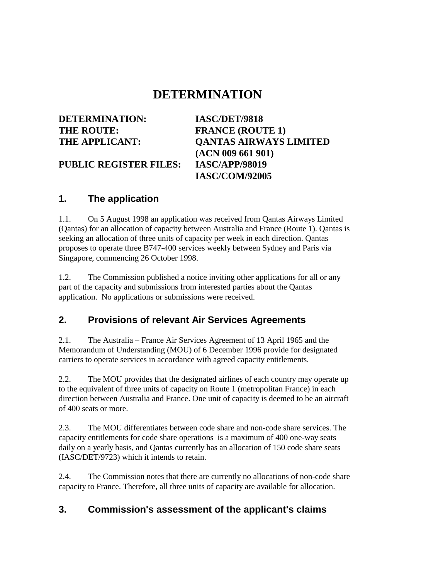# **DETERMINATION**

**DETERMINATION: IASC/DET/9818** THE ROUTE: **FRANCE** (ROUTE 1)

**THE APPLICANT: QANTAS AIRWAYS LIMITED (ACN 009 661 901) IASC/COM/92005**

**PUBLIC REGISTER FILES: IASC/APP/98019**

#### **1. The application**

1.1. On 5 August 1998 an application was received from Qantas Airways Limited (Qantas) for an allocation of capacity between Australia and France (Route 1). Qantas is seeking an allocation of three units of capacity per week in each direction. Qantas proposes to operate three B747-400 services weekly between Sydney and Paris via Singapore, commencing 26 October 1998.

1.2. The Commission published a notice inviting other applications for all or any part of the capacity and submissions from interested parties about the Qantas application. No applications or submissions were received.

### **2. Provisions of relevant Air Services Agreements**

2.1. The Australia – France Air Services Agreement of 13 April 1965 and the Memorandum of Understanding (MOU) of 6 December 1996 provide for designated carriers to operate services in accordance with agreed capacity entitlements.

2.2. The MOU provides that the designated airlines of each country may operate up to the equivalent of three units of capacity on Route 1 (metropolitan France) in each direction between Australia and France. One unit of capacity is deemed to be an aircraft of 400 seats or more.

2.3. The MOU differentiates between code share and non-code share services. The capacity entitlements for code share operations is a maximum of 400 one-way seats daily on a yearly basis, and Qantas currently has an allocation of 150 code share seats (IASC/DET/9723) which it intends to retain.

2.4. The Commission notes that there are currently no allocations of non-code share capacity to France. Therefore, all three units of capacity are available for allocation.

### **3. Commission's assessment of the applicant's claims**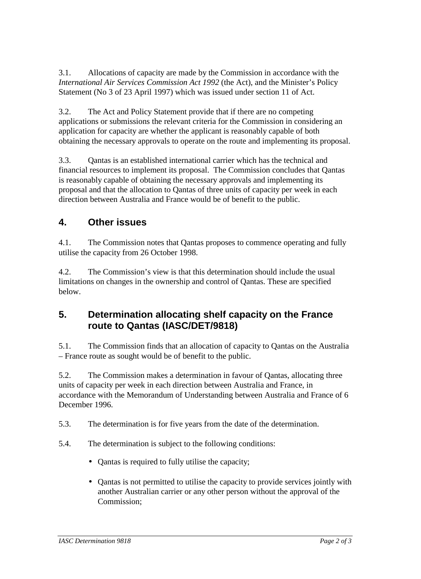3.1. Allocations of capacity are made by the Commission in accordance with the *International Air Services Commission Act 1992* (the Act), and the Minister's Policy Statement (No 3 of 23 April 1997) which was issued under section 11 of Act.

3.2. The Act and Policy Statement provide that if there are no competing applications or submissions the relevant criteria for the Commission in considering an application for capacity are whether the applicant is reasonably capable of both obtaining the necessary approvals to operate on the route and implementing its proposal.

3.3. Qantas is an established international carrier which has the technical and financial resources to implement its proposal. The Commission concludes that Qantas is reasonably capable of obtaining the necessary approvals and implementing its proposal and that the allocation to Qantas of three units of capacity per week in each direction between Australia and France would be of benefit to the public.

## **4. Other issues**

4.1. The Commission notes that Qantas proposes to commence operating and fully utilise the capacity from 26 October 1998.

4.2. The Commission's view is that this determination should include the usual limitations on changes in the ownership and control of Qantas. These are specified below.

### **5. Determination allocating shelf capacity on the France route to Qantas (IASC/DET/9818)**

5.1. The Commission finds that an allocation of capacity to Qantas on the Australia – France route as sought would be of benefit to the public.

5.2. The Commission makes a determination in favour of Qantas, allocating three units of capacity per week in each direction between Australia and France, in accordance with the Memorandum of Understanding between Australia and France of 6 December 1996.

5.3. The determination is for five years from the date of the determination.

- 5.4. The determination is subject to the following conditions:
	- Qantas is required to fully utilise the capacity;
	- Qantas is not permitted to utilise the capacity to provide services jointly with another Australian carrier or any other person without the approval of the Commission;